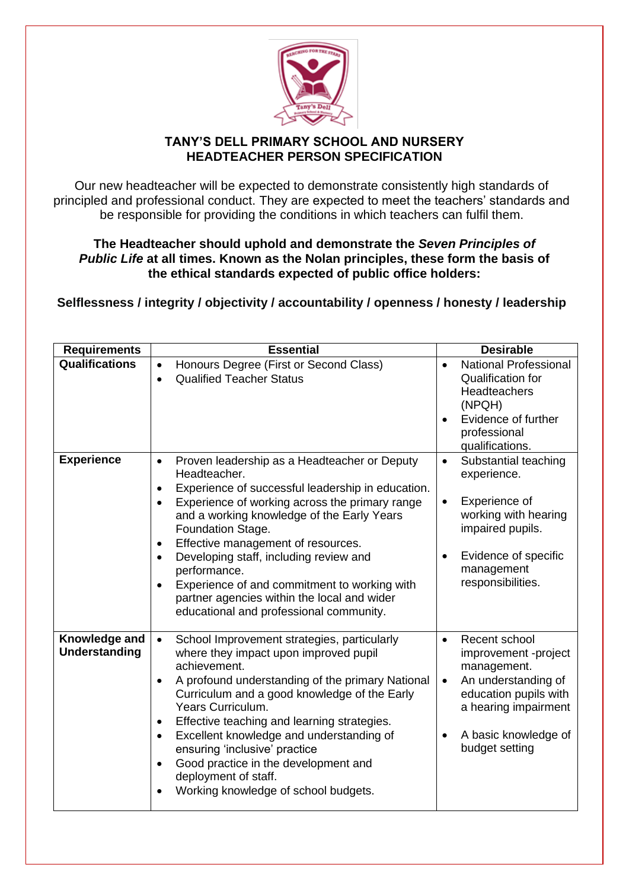

## **TANY'S DELL PRIMARY SCHOOL AND NURSERY HEADTEACHER PERSON SPECIFICATION**

Our new headteacher will be expected to demonstrate consistently high standards of principled and professional conduct. They are expected to meet the teachers' standards and be responsible for providing the conditions in which teachers can fulfil them.

**The Headteacher should uphold and demonstrate the** *[Seven Principles of](https://www.gov.uk/government/publications/the-7-principles-of-public-life)  [Public Life](https://www.gov.uk/government/publications/the-7-principles-of-public-life)* **at all times. Known as the Nolan principles, these form the basis of the ethical standards expected of public office holders:**

**Selflessness / integrity / objectivity / accountability / openness / honesty / leadership**

| <b>Requirements</b>                   | <b>Essential</b>                                                                                                                                                                                                                                                                                                                                                                                                                                                                                                                                       | <b>Desirable</b>                                                                                                                                                                                 |
|---------------------------------------|--------------------------------------------------------------------------------------------------------------------------------------------------------------------------------------------------------------------------------------------------------------------------------------------------------------------------------------------------------------------------------------------------------------------------------------------------------------------------------------------------------------------------------------------------------|--------------------------------------------------------------------------------------------------------------------------------------------------------------------------------------------------|
| <b>Qualifications</b>                 | Honours Degree (First or Second Class)<br>٠<br><b>Qualified Teacher Status</b><br>$\bullet$                                                                                                                                                                                                                                                                                                                                                                                                                                                            | <b>National Professional</b><br>Qualification for<br><b>Headteachers</b><br>(NPQH)<br>Evidence of further<br>professional<br>qualifications.                                                     |
| <b>Experience</b>                     | Proven leadership as a Headteacher or Deputy<br>$\bullet$<br>Headteacher.<br>Experience of successful leadership in education.<br>$\bullet$<br>Experience of working across the primary range<br>$\bullet$<br>and a working knowledge of the Early Years<br>Foundation Stage.<br>Effective management of resources.<br>٠<br>Developing staff, including review and<br>$\bullet$<br>performance.<br>Experience of and commitment to working with<br>$\bullet$<br>partner agencies within the local and wider<br>educational and professional community. | Substantial teaching<br>$\bullet$<br>experience.<br>Experience of<br>$\bullet$<br>working with hearing<br>impaired pupils.<br>Evidence of specific<br>management<br>responsibilities.            |
| Knowledge and<br><b>Understanding</b> | School Improvement strategies, particularly<br>$\bullet$<br>where they impact upon improved pupil<br>achievement.<br>A profound understanding of the primary National<br>٠<br>Curriculum and a good knowledge of the Early<br>Years Curriculum.<br>Effective teaching and learning strategies.<br>٠<br>Excellent knowledge and understanding of<br>$\bullet$<br>ensuring 'inclusive' practice<br>Good practice in the development and<br>$\bullet$<br>deployment of staff.<br>Working knowledge of school budgets.                                     | Recent school<br>$\bullet$<br>improvement -project<br>management.<br>An understanding of<br>$\bullet$<br>education pupils with<br>a hearing impairment<br>A basic knowledge of<br>budget setting |